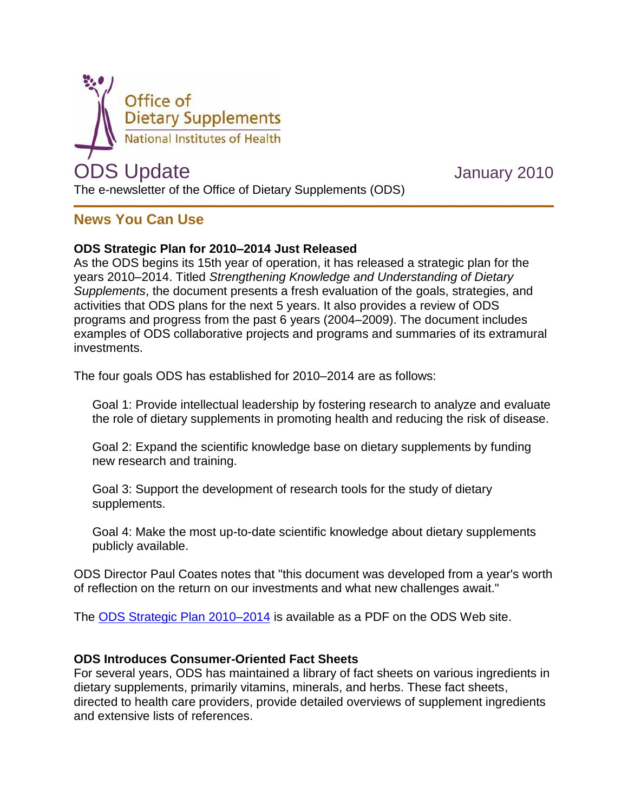

# **News You Can Use**

### **ODS Strategic Plan for 2010–2014 Just Released**

As the ODS begins its 15th year of operation, it has released a strategic plan for the years 2010–2014. Titled *Strengthening Knowledge and Understanding of Dietary Supplements*, the document presents a fresh evaluation of the goals, strategies, and activities that ODS plans for the next 5 years. It also provides a review of ODS programs and progress from the past 6 years (2004–2009). The document includes examples of ODS collaborative projects and programs and summaries of its extramural investments.

The four goals ODS has established for 2010–2014 are as follows:

Goal 1: Provide intellectual leadership by fostering research to analyze and evaluate the role of dietary supplements in promoting health and reducing the risk of disease.

Goal 2: Expand the scientific knowledge base on dietary supplements by funding new research and training.

Goal 3: Support the development of research tools for the study of dietary supplements.

Goal 4: Make the most up-to-date scientific knowledge about dietary supplements publicly available.

ODS Director Paul Coates notes that "this document was developed from a year's worth of reflection on the return on our investments and what new challenges await."

The [ODS Strategic Plan 2010–2014](http://ods.od.nih.gov/About/Strategic_Plan_2010-2014.aspx) is available as a PDF on the ODS Web site.

### **ODS Introduces Consumer-Oriented Fact Sheets**

For several years, ODS has maintained a library of fact sheets on various ingredients in dietary supplements, primarily vitamins, minerals, and herbs. These fact sheets, directed to health care providers, provide detailed overviews of supplement ingredients and extensive lists of references.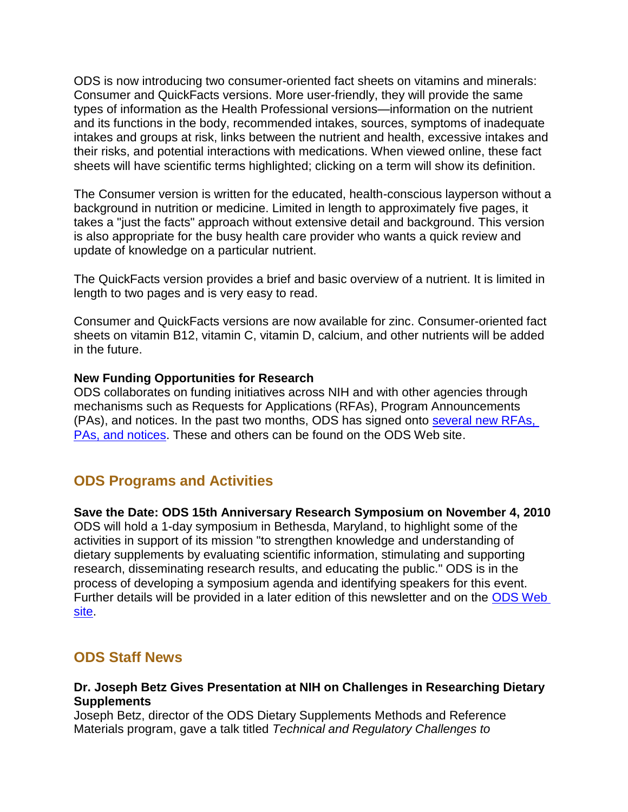ODS is now introducing two consumer-oriented fact sheets on vitamins and minerals: Consumer and QuickFacts versions. More user-friendly, they will provide the same types of information as the Health Professional versions—information on the nutrient and its functions in the body, recommended intakes, sources, symptoms of inadequate intakes and groups at risk, links between the nutrient and health, excessive intakes and their risks, and potential interactions with medications. When viewed online, these fact sheets will have scientific terms highlighted; clicking on a term will show its definition.

The Consumer version is written for the educated, health-conscious layperson without a background in nutrition or medicine. Limited in length to approximately five pages, it takes a "just the facts" approach without extensive detail and background. This version is also appropriate for the busy health care provider who wants a quick review and update of knowledge on a particular nutrient.

The QuickFacts version provides a brief and basic overview of a nutrient. It is limited in length to two pages and is very easy to read.

Consumer and QuickFacts versions are now available for zinc. Consumer-oriented fact sheets on vitamin B12, vitamin C, vitamin D, calcium, and other nutrients will be added in the future.

#### **New Funding Opportunities for Research**

ODS collaborates on funding initiatives across NIH and with other agencies through mechanisms such as Requests for Applications (RFAs), Program Announcements (PAs), and notices. In the past two months, ODS has signed onto [several new RFAs,](http://ods.od.nih.gov/Funding/Funding.aspx)  [PAs, and notices.](http://ods.od.nih.gov/Funding/Funding.aspx) These and others can be found on the ODS Web site.

## **ODS Programs and Activities**

#### **Save the Date: ODS 15th Anniversary Research Symposium on November 4, 2010**

ODS will hold a 1-day symposium in Bethesda, Maryland, to highlight some of the activities in support of its mission "to strengthen knowledge and understanding of dietary supplements by evaluating scientific information, stimulating and supporting research, disseminating research results, and educating the public." ODS is in the process of developing a symposium agenda and identifying speakers for this event. Further details will be provided in a later edition of this newsletter and on the [ODS Web](http://ods.od.nih.gov/)  [site.](http://ods.od.nih.gov/)

### **ODS Staff News**

#### **Dr. Joseph Betz Gives Presentation at NIH on Challenges in Researching Dietary Supplements**

Joseph Betz, director of the ODS Dietary Supplements Methods and Reference Materials program, gave a talk titled *Technical and Regulatory Challenges to*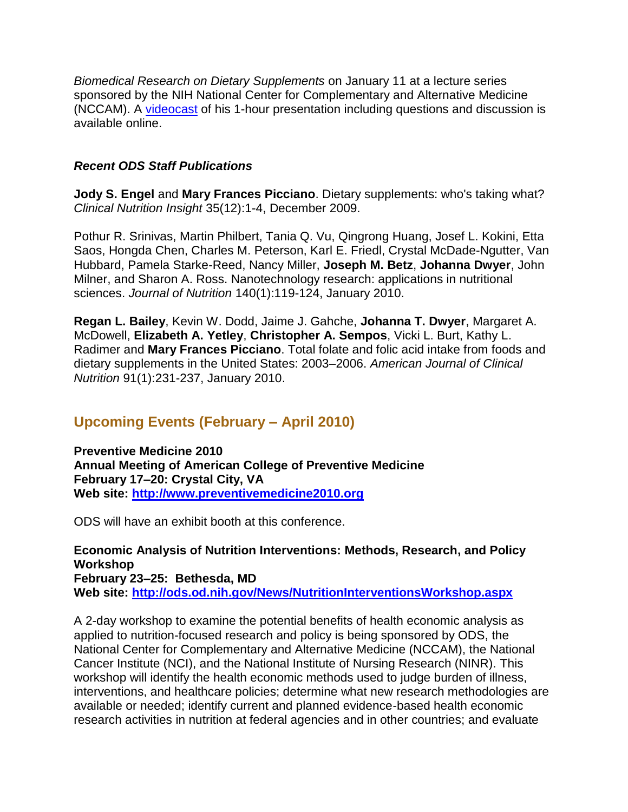*Biomedical Research on Dietary Supplements* on January 11 at a lecture series sponsored by the NIH National Center for Complementary and Alternative Medicine (NCCAM). A [videocast](http://videocast.nih.gov/PastEvents.asp) of his 1-hour presentation including questions and discussion is available online.

## *Recent ODS Staff Publications*

**Jody S. Engel** and **Mary Frances Picciano**. Dietary supplements: who's taking what? *Clinical Nutrition Insight* 35(12):1-4, December 2009.

Pothur R. Srinivas, Martin Philbert, Tania Q. Vu, Qingrong Huang, Josef L. Kokini, Etta Saos, Hongda Chen, Charles M. Peterson, Karl E. Friedl, Crystal McDade-Ngutter, Van Hubbard, Pamela Starke-Reed, Nancy Miller, **Joseph M. Betz**, **Johanna Dwyer**, John Milner, and Sharon A. Ross. Nanotechnology research: applications in nutritional sciences. *Journal of Nutrition* 140(1):119-124, January 2010.

**Regan L. Bailey**, Kevin W. Dodd, Jaime J. Gahche, **Johanna T. Dwyer**, Margaret A. McDowell, **Elizabeth A. Yetley**, **Christopher A. Sempos**, Vicki L. Burt, Kathy L. Radimer and **Mary Frances Picciano**. Total folate and folic acid intake from foods and dietary supplements in the United States: 2003–2006. *American Journal of Clinical Nutrition* 91(1):231-237, January 2010.

## **Upcoming Events (February – April 2010)**

**Preventive Medicine 2010 Annual Meeting of American College of Preventive Medicine February 17–20: Crystal City, VA Web site: [http://www.preventivemedicine2010.org](http://www.preventivemedicine2010.org/)**

ODS will have an exhibit booth at this conference.

**Economic Analysis of Nutrition Interventions: Methods, Research, and Policy Workshop February 23–25: Bethesda, MD Web site:<http://ods.od.nih.gov/News/NutritionInterventionsWorkshop.aspx>**

A 2-day workshop to examine the potential benefits of health economic analysis as applied to nutrition-focused research and policy is being sponsored by ODS, the National Center for Complementary and Alternative Medicine (NCCAM), the National Cancer Institute (NCI), and the National Institute of Nursing Research (NINR). This workshop will identify the health economic methods used to judge burden of illness, interventions, and healthcare policies; determine what new research methodologies are available or needed; identify current and planned evidence-based health economic research activities in nutrition at federal agencies and in other countries; and evaluate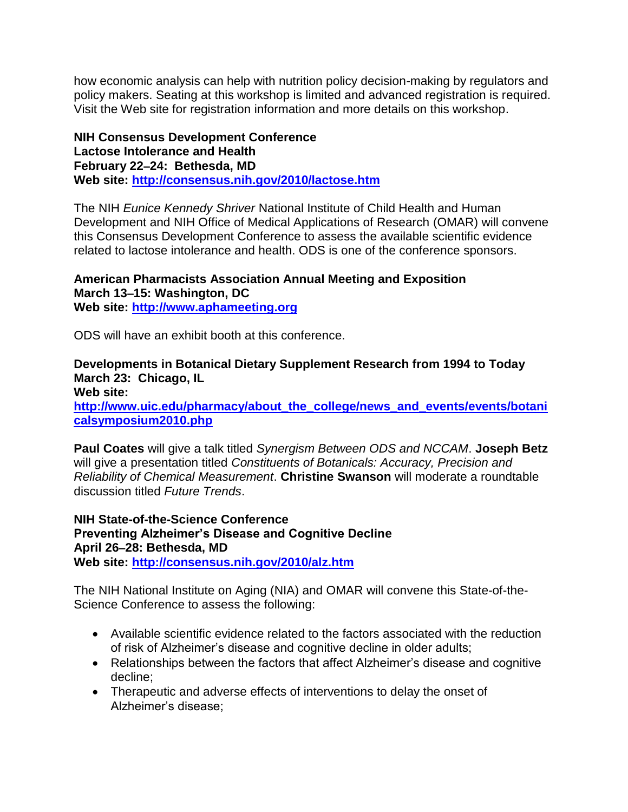how economic analysis can help with nutrition policy decision-making by regulators and policy makers. Seating at this workshop is limited and advanced registration is required. Visit the Web site for registration information and more details on this workshop.

**NIH Consensus Development Conference Lactose Intolerance and Health February 22–24: Bethesda, MD Web site: <http://consensus.nih.gov/2010/lactose.htm>**

The NIH *Eunice Kennedy Shriver* National Institute of Child Health and Human Development and NIH Office of Medical Applications of Research (OMAR) will convene this Consensus Development Conference to assess the available scientific evidence related to lactose intolerance and health. ODS is one of the conference sponsors.

#### **American Pharmacists Association Annual Meeting and Exposition March 13–15: Washington, DC Web site: [http://www.aphameeting.org](http://www.aphameeting.org/)**

ODS will have an exhibit booth at this conference.

## **Developments in Botanical Dietary Supplement Research from 1994 to Today March 23: Chicago, IL**

**Web site: [http://www.uic.edu/pharmacy/about\\_the\\_college/news\\_and\\_events/events/botani](http://www.uic.edu/pharmacy/about_the_college/news_and_events/events/botanicalsymposium2010.php) [calsymposium2010.php](http://www.uic.edu/pharmacy/about_the_college/news_and_events/events/botanicalsymposium2010.php)**

**Paul Coates** will give a talk titled *Synergism Between ODS and NCCAM*. **Joseph Betz** will give a presentation titled *Constituents of Botanicals: Accuracy, Precision and Reliability of Chemical Measurement*. **Christine Swanson** will moderate a roundtable discussion titled *Future Trends*.

**NIH State-of-the-Science Conference Preventing Alzheimer's Disease and Cognitive Decline April 26–28: Bethesda, MD Web site:<http://consensus.nih.gov/2010/alz.htm>**

The NIH National Institute on Aging (NIA) and OMAR will convene this State-of-the-Science Conference to assess the following:

- Available scientific evidence related to the factors associated with the reduction of risk of Alzheimer's disease and cognitive decline in older adults;
- Relationships between the factors that affect Alzheimer's disease and cognitive decline;
- Therapeutic and adverse effects of interventions to delay the onset of Alzheimer's disease;